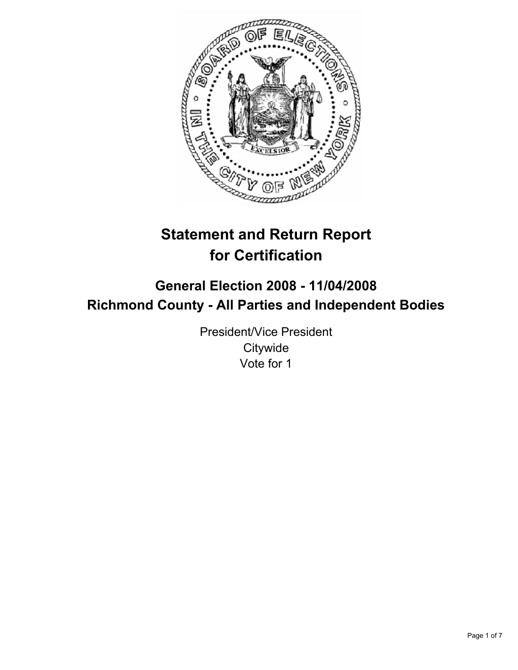

# **Statement and Return Report for Certification**

## **General Election 2008 - 11/04/2008 Richmond County - All Parties and Independent Bodies**

President/Vice President **Citywide** Vote for 1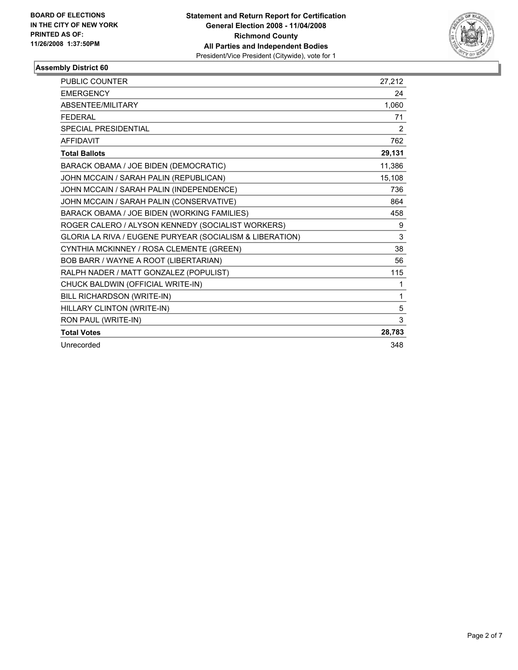

| <b>PUBLIC COUNTER</b>                                    | 27,212 |
|----------------------------------------------------------|--------|
| <b>EMERGENCY</b>                                         | 24     |
| <b>ABSENTEE/MILITARY</b>                                 | 1,060  |
| <b>FEDERAL</b>                                           | 71     |
| <b>SPECIAL PRESIDENTIAL</b>                              | 2      |
| <b>AFFIDAVIT</b>                                         | 762    |
| <b>Total Ballots</b>                                     | 29,131 |
| BARACK OBAMA / JOE BIDEN (DEMOCRATIC)                    | 11,386 |
| JOHN MCCAIN / SARAH PALIN (REPUBLICAN)                   | 15,108 |
| JOHN MCCAIN / SARAH PALIN (INDEPENDENCE)                 | 736    |
| JOHN MCCAIN / SARAH PALIN (CONSERVATIVE)                 | 864    |
| BARACK OBAMA / JOE BIDEN (WORKING FAMILIES)              | 458    |
| ROGER CALERO / ALYSON KENNEDY (SOCIALIST WORKERS)        | 9      |
| GLORIA LA RIVA / EUGENE PURYEAR (SOCIALISM & LIBERATION) | 3      |
| CYNTHIA MCKINNEY / ROSA CLEMENTE (GREEN)                 | 38     |
| BOB BARR / WAYNE A ROOT (LIBERTARIAN)                    | 56     |
| RALPH NADER / MATT GONZALEZ (POPULIST)                   | 115    |
| CHUCK BALDWIN (OFFICIAL WRITE-IN)                        | 1      |
| BILL RICHARDSON (WRITE-IN)                               | 1      |
| HILLARY CLINTON (WRITE-IN)                               | 5      |
| RON PAUL (WRITE-IN)                                      | 3      |
| <b>Total Votes</b>                                       | 28,783 |
| Unrecorded                                               | 348    |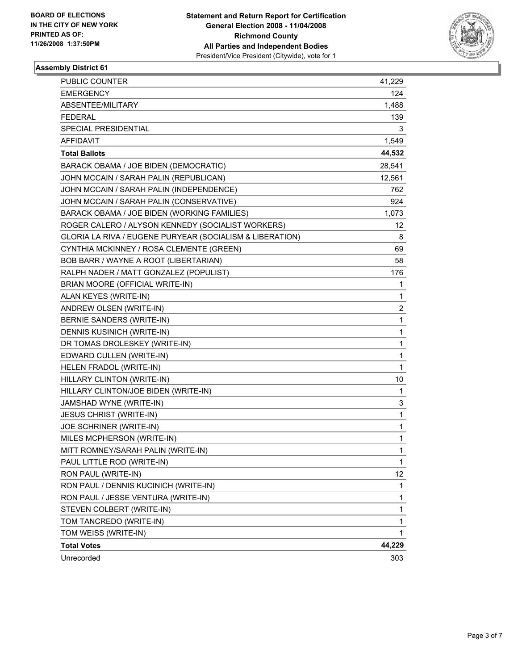

| PUBLIC COUNTER                                           | 41,229 |
|----------------------------------------------------------|--------|
| <b>EMERGENCY</b>                                         | 124    |
| ABSENTEE/MILITARY                                        | 1,488  |
| <b>FEDERAL</b>                                           | 139    |
| <b>SPECIAL PRESIDENTIAL</b>                              | 3      |
| <b>AFFIDAVIT</b>                                         | 1,549  |
| <b>Total Ballots</b>                                     | 44,532 |
| BARACK OBAMA / JOE BIDEN (DEMOCRATIC)                    | 28,541 |
| JOHN MCCAIN / SARAH PALIN (REPUBLICAN)                   | 12,561 |
| JOHN MCCAIN / SARAH PALIN (INDEPENDENCE)                 | 762    |
| JOHN MCCAIN / SARAH PALIN (CONSERVATIVE)                 | 924    |
| BARACK OBAMA / JOE BIDEN (WORKING FAMILIES)              | 1,073  |
| ROGER CALERO / ALYSON KENNEDY (SOCIALIST WORKERS)        | 12     |
| GLORIA LA RIVA / EUGENE PURYEAR (SOCIALISM & LIBERATION) | 8      |
| CYNTHIA MCKINNEY / ROSA CLEMENTE (GREEN)                 | 69     |
| BOB BARR / WAYNE A ROOT (LIBERTARIAN)                    | 58     |
| RALPH NADER / MATT GONZALEZ (POPULIST)                   | 176    |
| BRIAN MOORE (OFFICIAL WRITE-IN)                          | 1      |
| ALAN KEYES (WRITE-IN)                                    | 1      |
| ANDREW OLSEN (WRITE-IN)                                  | 2      |
| BERNIE SANDERS (WRITE-IN)                                | 1      |
| <b>DENNIS KUSINICH (WRITE-IN)</b>                        | 1      |
| DR TOMAS DROLESKEY (WRITE-IN)                            | 1      |
| EDWARD CULLEN (WRITE-IN)                                 | 1      |
| HELEN FRADOL (WRITE-IN)                                  | 1      |
| HILLARY CLINTON (WRITE-IN)                               | 10     |
| HILLARY CLINTON/JOE BIDEN (WRITE-IN)                     | 1      |
| JAMSHAD WYNE (WRITE-IN)                                  | 3      |
| <b>JESUS CHRIST (WRITE-IN)</b>                           | 1      |
| JOE SCHRINER (WRITE-IN)                                  | 1      |
| MILES MCPHERSON (WRITE-IN)                               | 1      |
| MITT ROMNEY/SARAH PALIN (WRITE-IN)                       | 1      |
| PAUL LITTLE ROD (WRITE-IN)                               | 1      |
| RON PAUL (WRITE-IN)                                      | 12     |
| RON PAUL / DENNIS KUCINICH (WRITE-IN)                    | 1      |
| RON PAUL / JESSE VENTURA (WRITE-IN)                      | 1      |
| STEVEN COLBERT (WRITE-IN)                                | 1      |
| TOM TANCREDO (WRITE-IN)                                  | 1      |
| TOM WEISS (WRITE-IN)                                     | 1      |
| <b>Total Votes</b>                                       | 44,229 |
| Unrecorded                                               | 303    |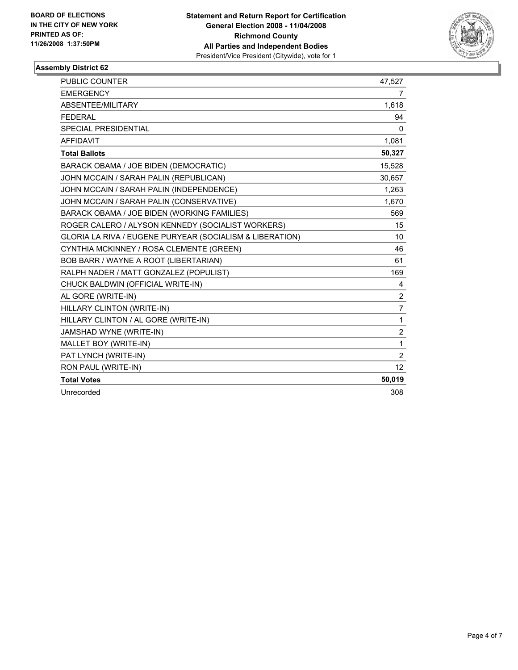

| PUBLIC COUNTER                                           | 47,527         |
|----------------------------------------------------------|----------------|
| <b>EMERGENCY</b>                                         | 7              |
| ABSENTEE/MILITARY                                        | 1,618          |
| <b>FEDERAL</b>                                           | 94             |
| <b>SPECIAL PRESIDENTIAL</b>                              | 0              |
| <b>AFFIDAVIT</b>                                         | 1,081          |
| <b>Total Ballots</b>                                     | 50,327         |
| BARACK OBAMA / JOE BIDEN (DEMOCRATIC)                    | 15,528         |
| JOHN MCCAIN / SARAH PALIN (REPUBLICAN)                   | 30,657         |
| JOHN MCCAIN / SARAH PALIN (INDEPENDENCE)                 | 1,263          |
| JOHN MCCAIN / SARAH PALIN (CONSERVATIVE)                 | 1.670          |
| BARACK OBAMA / JOE BIDEN (WORKING FAMILIES)              | 569            |
| ROGER CALERO / ALYSON KENNEDY (SOCIALIST WORKERS)        | 15             |
| GLORIA LA RIVA / EUGENE PURYEAR (SOCIALISM & LIBERATION) | 10             |
| CYNTHIA MCKINNEY / ROSA CLEMENTE (GREEN)                 | 46             |
| BOB BARR / WAYNE A ROOT (LIBERTARIAN)                    | 61             |
| RALPH NADER / MATT GONZALEZ (POPULIST)                   | 169            |
| CHUCK BALDWIN (OFFICIAL WRITE-IN)                        | 4              |
| AL GORE (WRITE-IN)                                       | $\overline{2}$ |
| HILLARY CLINTON (WRITE-IN)                               | 7              |
| HILLARY CLINTON / AL GORE (WRITE-IN)                     | $\mathbf{1}$   |
| JAMSHAD WYNE (WRITE-IN)                                  | $\overline{2}$ |
| MALLET BOY (WRITE-IN)                                    | $\mathbf{1}$   |
| PAT LYNCH (WRITE-IN)                                     | $\overline{2}$ |
| RON PAUL (WRITE-IN)                                      | 12             |
| <b>Total Votes</b>                                       | 50,019         |
| Unrecorded                                               | 308            |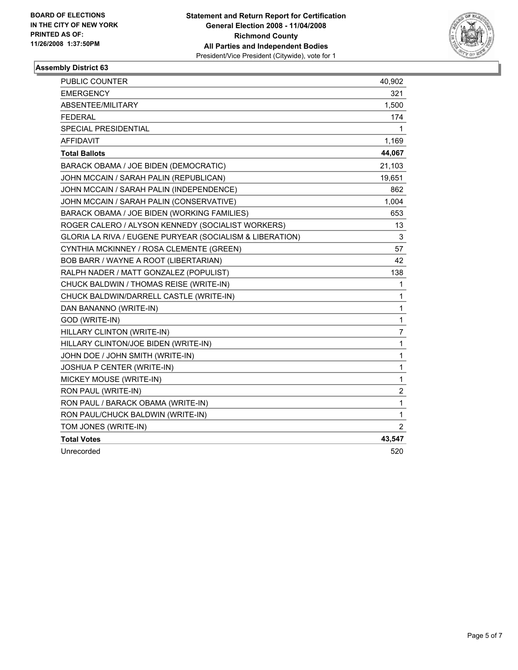

| PUBLIC COUNTER                                           | 40,902                  |
|----------------------------------------------------------|-------------------------|
| <b>EMERGENCY</b>                                         | 321                     |
| ABSENTEE/MILITARY                                        | 1,500                   |
| <b>FEDERAL</b>                                           | 174                     |
| <b>SPECIAL PRESIDENTIAL</b>                              | 1                       |
| <b>AFFIDAVIT</b>                                         | 1,169                   |
| <b>Total Ballots</b>                                     | 44,067                  |
| BARACK OBAMA / JOE BIDEN (DEMOCRATIC)                    | 21,103                  |
| JOHN MCCAIN / SARAH PALIN (REPUBLICAN)                   | 19,651                  |
| JOHN MCCAIN / SARAH PALIN (INDEPENDENCE)                 | 862                     |
| JOHN MCCAIN / SARAH PALIN (CONSERVATIVE)                 | 1,004                   |
| BARACK OBAMA / JOE BIDEN (WORKING FAMILIES)              | 653                     |
| ROGER CALERO / ALYSON KENNEDY (SOCIALIST WORKERS)        | 13                      |
| GLORIA LA RIVA / EUGENE PURYEAR (SOCIALISM & LIBERATION) | 3                       |
| CYNTHIA MCKINNEY / ROSA CLEMENTE (GREEN)                 | 57                      |
| BOB BARR / WAYNE A ROOT (LIBERTARIAN)                    | 42                      |
| RALPH NADER / MATT GONZALEZ (POPULIST)                   | 138                     |
| CHUCK BALDWIN / THOMAS REISE (WRITE-IN)                  | 1                       |
| CHUCK BALDWIN/DARRELL CASTLE (WRITE-IN)                  | 1                       |
| DAN BANANNO (WRITE-IN)                                   | 1                       |
| GOD (WRITE-IN)                                           | 1                       |
| HILLARY CLINTON (WRITE-IN)                               | 7                       |
| HILLARY CLINTON/JOE BIDEN (WRITE-IN)                     | 1                       |
| JOHN DOE / JOHN SMITH (WRITE-IN)                         | 1                       |
| JOSHUA P CENTER (WRITE-IN)                               | 1                       |
| MICKEY MOUSE (WRITE-IN)                                  | 1                       |
| RON PAUL (WRITE-IN)                                      | $\overline{\mathbf{c}}$ |
| RON PAUL / BARACK OBAMA (WRITE-IN)                       | 1                       |
| RON PAUL/CHUCK BALDWIN (WRITE-IN)                        | 1                       |
| TOM JONES (WRITE-IN)                                     | $\overline{2}$          |
| <b>Total Votes</b>                                       | 43,547                  |
| Unrecorded                                               | 520                     |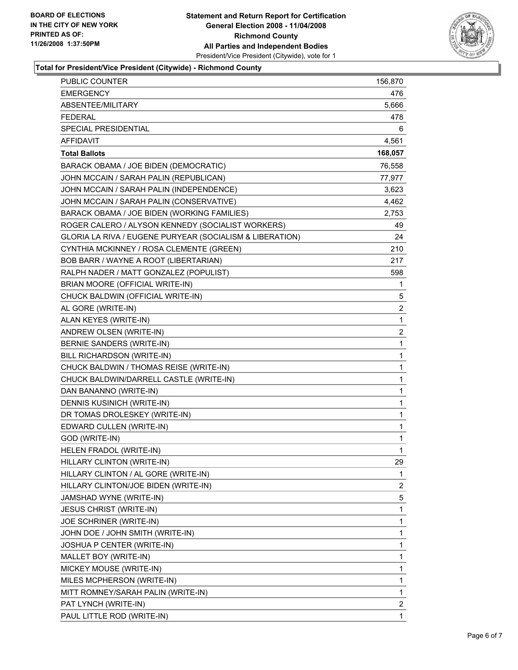

### **Total for President/Vice President (Citywide) - Richmond County**

| <b>PUBLIC COUNTER</b>                                    | 156,870                 |
|----------------------------------------------------------|-------------------------|
| <b>EMERGENCY</b>                                         | 476                     |
| ABSENTEE/MILITARY                                        | 5,666                   |
| <b>FEDERAL</b>                                           | 478                     |
| SPECIAL PRESIDENTIAL                                     | 6                       |
| <b>AFFIDAVIT</b>                                         | 4,561                   |
| <b>Total Ballots</b>                                     | 168,057                 |
| BARACK OBAMA / JOE BIDEN (DEMOCRATIC)                    | 76,558                  |
| JOHN MCCAIN / SARAH PALIN (REPUBLICAN)                   | 77,977                  |
| JOHN MCCAIN / SARAH PALIN (INDEPENDENCE)                 | 3,623                   |
| JOHN MCCAIN / SARAH PALIN (CONSERVATIVE)                 | 4,462                   |
| BARACK OBAMA / JOE BIDEN (WORKING FAMILIES)              | 2,753                   |
| ROGER CALERO / ALYSON KENNEDY (SOCIALIST WORKERS)        | 49                      |
| GLORIA LA RIVA / EUGENE PURYEAR (SOCIALISM & LIBERATION) | 24                      |
| CYNTHIA MCKINNEY / ROSA CLEMENTE (GREEN)                 | 210                     |
| BOB BARR / WAYNE A ROOT (LIBERTARIAN)                    | 217                     |
| RALPH NADER / MATT GONZALEZ (POPULIST)                   | 598                     |
| BRIAN MOORE (OFFICIAL WRITE-IN)                          | 1                       |
| CHUCK BALDWIN (OFFICIAL WRITE-IN)                        | 5                       |
| AL GORE (WRITE-IN)                                       | $\overline{c}$          |
| ALAN KEYES (WRITE-IN)                                    | 1                       |
| ANDREW OLSEN (WRITE-IN)                                  | $\boldsymbol{2}$        |
| <b>BERNIE SANDERS (WRITE-IN)</b>                         | 1                       |
| BILL RICHARDSON (WRITE-IN)                               | 1                       |
| CHUCK BALDWIN / THOMAS REISE (WRITE-IN)                  | 1                       |
| CHUCK BALDWIN/DARRELL CASTLE (WRITE-IN)                  | 1                       |
| DAN BANANNO (WRITE-IN)                                   | 1                       |
| <b>DENNIS KUSINICH (WRITE-IN)</b>                        | 1                       |
| DR TOMAS DROLESKEY (WRITE-IN)                            | 1                       |
| EDWARD CULLEN (WRITE-IN)                                 | 1                       |
| GOD (WRITE-IN)                                           | 1                       |
| HELEN FRADOL (WRITE-IN)                                  | 1                       |
| HILLARY CLINTON (WRITE-IN)                               | 29                      |
| HILLARY CLINTON / AL GORE (WRITE-IN)                     | 1                       |
| HILLARY CLINTON/JOE BIDEN (WRITE-IN)                     | 2                       |
| JAMSHAD WYNE (WRITE-IN)                                  | 5                       |
| <b>JESUS CHRIST (WRITE-IN)</b>                           | 1                       |
| JOE SCHRINER (WRITE-IN)                                  | 1                       |
| JOHN DOE / JOHN SMITH (WRITE-IN)                         | 1                       |
| JOSHUA P CENTER (WRITE-IN)                               | 1                       |
| MALLET BOY (WRITE-IN)                                    | 1                       |
| MICKEY MOUSE (WRITE-IN)                                  | 1                       |
| MILES MCPHERSON (WRITE-IN)                               | 1                       |
| MITT ROMNEY/SARAH PALIN (WRITE-IN)                       | $\mathbf{1}$            |
| PAT LYNCH (WRITE-IN)                                     | $\overline{\mathbf{c}}$ |
| PAUL LITTLE ROD (WRITE-IN)                               | 1                       |